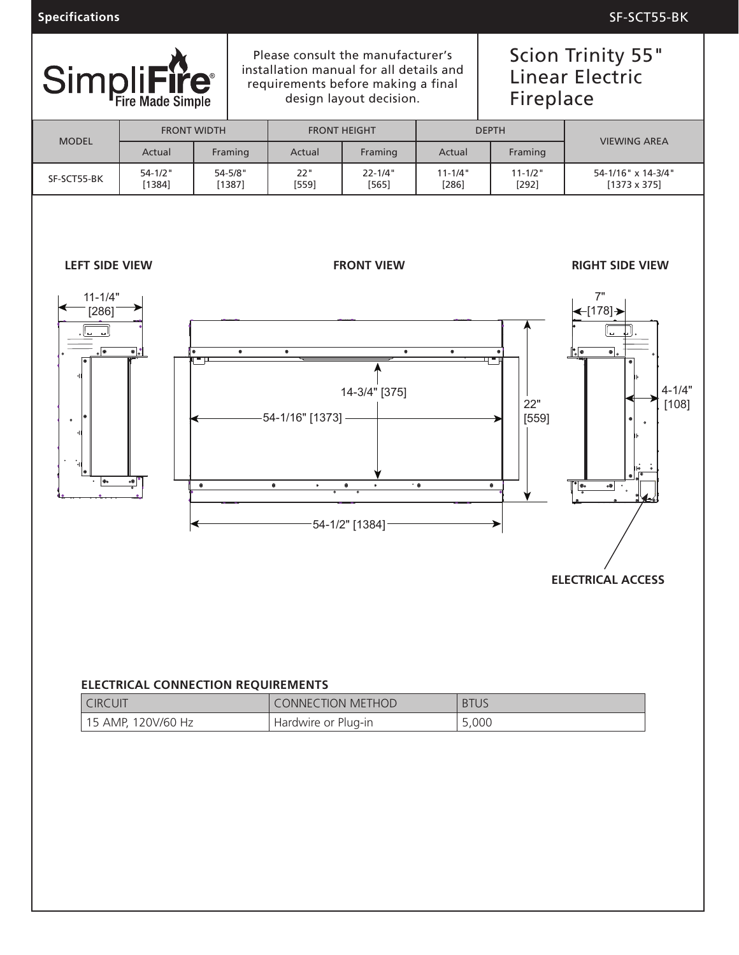**Specifications** SF-SCT55-BK



Please consult the manufacturer's installation manual for all details and requirements before making a final design layout decision.

# Scion Trinity 55" Linear Electric Fireplace

| <b>MODEL</b>                                                                                                                                    |                            | <b>FRONT WIDTH</b>                        | <b>FRONT HEIGHT</b>                                       |                                                                                              |                        | <b>DEPTH</b>            | <b>VIEWING AREA</b>                                                                                                                                                                                                                                                      |
|-------------------------------------------------------------------------------------------------------------------------------------------------|----------------------------|-------------------------------------------|-----------------------------------------------------------|----------------------------------------------------------------------------------------------|------------------------|-------------------------|--------------------------------------------------------------------------------------------------------------------------------------------------------------------------------------------------------------------------------------------------------------------------|
|                                                                                                                                                 | Actual                     | Framing                                   | Actual                                                    | Framing                                                                                      | Actual                 | Framing                 |                                                                                                                                                                                                                                                                          |
| SF-SCT55-BK                                                                                                                                     | $54 - 1/2$ "<br>[1384]     | $54 - 5/8"$<br>[1387]                     | 22"<br>$[559]$                                            | $22 - 1/4"$<br>[565]                                                                         | $11 - 1/4"$<br>$[286]$ | $11 - 1/2$ "<br>$[292]$ | 54-1/16" x 14-3/4"<br>$[1373 \times 375]$                                                                                                                                                                                                                                |
| <b>LEFT SIDE VIEW</b><br>$11 - 1/4"$<br>$[286]$<br>ان بال<br>$\circ$<br>8<br>$\circ$<br>$\bullet$<br>$\ddot{\phantom{a}}_{\rm th}$<br>$\bullet$ | $\bullet$<br>$\frac{1}{n}$ | $\bullet$<br>$\bullet$<br>モロ<br>$\bullet$ | $\bullet$<br>-54-1/16" [1373] -<br>$\bullet$<br>$\bullet$ | <b>FRONT VIEW</b><br>$\bullet$<br>14-3/4" [375]<br>$\bullet$<br>$\bullet$<br>-54-1/2" [1384] | $\bullet$<br>$\cdot$ 0 | ╍<br>22"<br>[559]<br>۰  | <b>RIGHT SIDE VIEW</b><br>7"<br>$\leftarrow$ [178] $\rightarrow$<br>ده ا<br>$\bullet _\circ$<br>.le<br>$4 - 1/4"$<br>[108]<br>$\bullet$<br>$\circ$<br>∣္<br>∣∘<br>$\rm\stackrel{\star}{\circ}$<br>$\boxed{\bullet \bullet}$<br>$\circledast$<br><b>ELECTRICAL ACCESS</b> |
|                                                                                                                                                 |                            |                                           |                                                           |                                                                                              |                        |                         |                                                                                                                                                                                                                                                                          |

#### **ELECTRICAL CONNECTION REQUIREMENTS**

| <b>CIRCUIT</b>       | CONNECTION METHOD   | <b>BTUS</b> |
|----------------------|---------------------|-------------|
| ' 15 AMP, 120V/60 Hz | Hardwire or Plug-in | 5,000       |